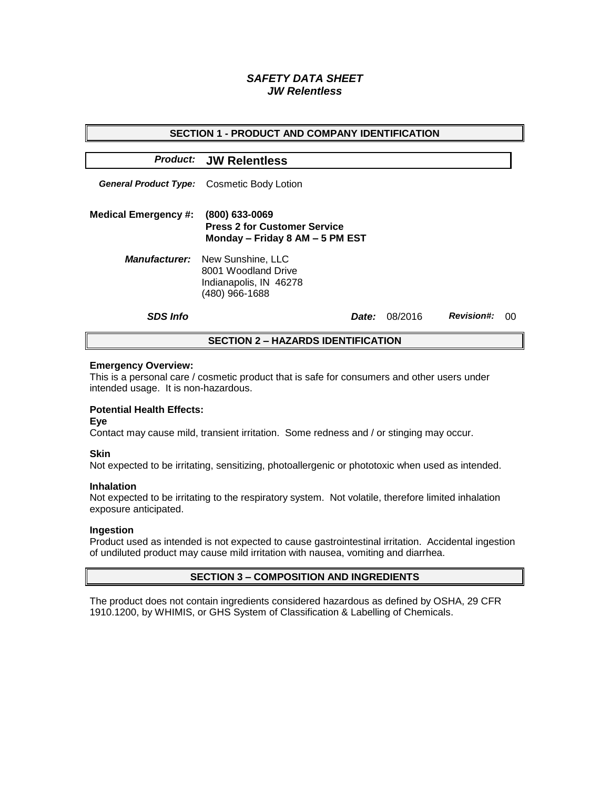# *SAFETY DATA SHEET JW Relentless*

| <b>SECTION 1 - PRODUCT AND COMPANY IDENTIFICATION</b> |                                                                                                           |       |         |                   |    |  |
|-------------------------------------------------------|-----------------------------------------------------------------------------------------------------------|-------|---------|-------------------|----|--|
|                                                       | <b>Product: JW Relentless</b>                                                                             |       |         |                   |    |  |
| <b>General Product Type:</b>                          | Cosmetic Body Lotion                                                                                      |       |         |                   |    |  |
| <b>Medical Emergency #:</b>                           | (800) 633-0069<br><b>Press 2 for Customer Service</b><br>Monday - Friday 8 AM - 5 PM EST                  |       |         |                   |    |  |
|                                                       | <b>Manufacturer:</b> New Sunshine, LLC<br>8001 Woodland Drive<br>Indianapolis, IN 46278<br>(480) 966-1688 |       |         |                   |    |  |
| <b>SDS Info</b>                                       |                                                                                                           | Date: | 08/2016 | <b>Revision#:</b> | 00 |  |
| <b>SECTION 2 - HAZARDS IDENTIFICATION</b>             |                                                                                                           |       |         |                   |    |  |

#### **Emergency Overview:**

This is a personal care / cosmetic product that is safe for consumers and other users under intended usage. It is non-hazardous.

## **Potential Health Effects:**

**Eye**

Contact may cause mild, transient irritation. Some redness and / or stinging may occur.

### **Skin**

Not expected to be irritating, sensitizing, photoallergenic or phototoxic when used as intended.

#### **Inhalation**

Not expected to be irritating to the respiratory system. Not volatile, therefore limited inhalation exposure anticipated.

### **Ingestion**

Product used as intended is not expected to cause gastrointestinal irritation. Accidental ingestion of undiluted product may cause mild irritation with nausea, vomiting and diarrhea.

### **SECTION 3 – COMPOSITION AND INGREDIENTS**

The product does not contain ingredients considered hazardous as defined by OSHA, 29 CFR 1910.1200, by WHIMIS, or GHS System of Classification & Labelling of Chemicals.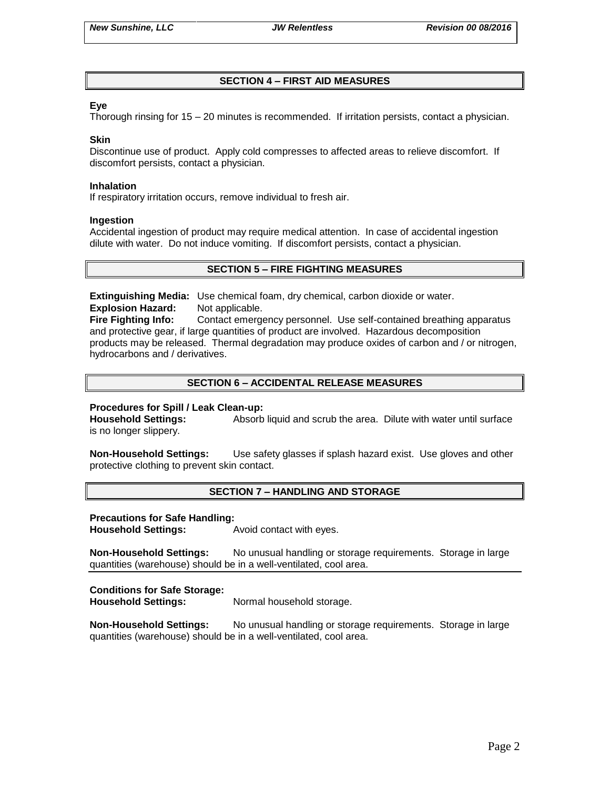# **SECTION 4 – FIRST AID MEASURES**

## **Eye**

Thorough rinsing for 15 – 20 minutes is recommended. If irritation persists, contact a physician.

### **Skin**

Discontinue use of product. Apply cold compresses to affected areas to relieve discomfort. If discomfort persists, contact a physician.

#### **Inhalation**

If respiratory irritation occurs, remove individual to fresh air.

#### **Ingestion**

Accidental ingestion of product may require medical attention. In case of accidental ingestion dilute with water. Do not induce vomiting. If discomfort persists, contact a physician.

## **SECTION 5 – FIRE FIGHTING MEASURES**

**Extinguishing Media:** Use chemical foam, dry chemical, carbon dioxide or water. **Explosion Hazard:** Not applicable.

**Fire Fighting Info:** Contact emergency personnel. Use self-contained breathing apparatus and protective gear, if large quantities of product are involved. Hazardous decomposition products may be released. Thermal degradation may produce oxides of carbon and / or nitrogen, hydrocarbons and / derivatives.

## **SECTION 6 – ACCIDENTAL RELEASE MEASURES**

### **Procedures for Spill / Leak Clean-up:**

**Household Settings:** Absorb liquid and scrub the area. Dilute with water until surface is no longer slippery.

**Non-Household Settings:** Use safety glasses if splash hazard exist. Use gloves and other protective clothing to prevent skin contact.

### **SECTION 7 – HANDLING AND STORAGE**

### **Precautions for Safe Handling:**

**Household Settings:** Avoid contact with eyes.

**Non-Household Settings:** No unusual handling or storage requirements. Storage in large quantities (warehouse) should be in a well-ventilated, cool area.

### **Conditions for Safe Storage:**

**Household Settings:** Normal household storage.

**Non-Household Settings:** No unusual handling or storage requirements. Storage in large quantities (warehouse) should be in a well-ventilated, cool area.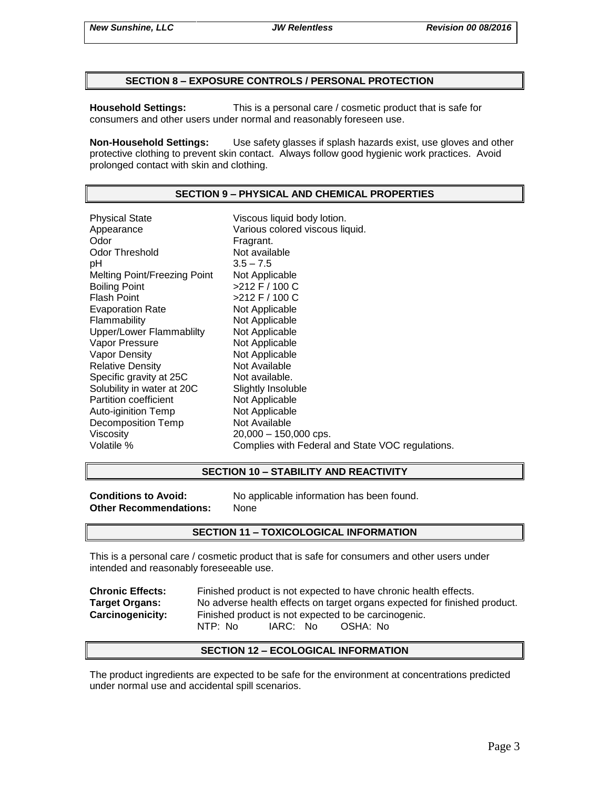### **SECTION 8 – EXPOSURE CONTROLS / PERSONAL PROTECTION**

**Household Settings:** This is a personal care / cosmetic product that is safe for consumers and other users under normal and reasonably foreseen use.

**Non-Household Settings:** Use safety glasses if splash hazards exist, use gloves and other protective clothing to prevent skin contact. Always follow good hygienic work practices. Avoid prolonged contact with skin and clothing.

# **SECTION 9 – PHYSICAL AND CHEMICAL PROPERTIES**

Physical State Viscous liquid body lotion. Appearance Various colored viscous liquid.<br>
Odor Color Color Fragrant. Odor Threshold Not available pH 3.5 – 7.5 Melting Point/Freezing Point Not Applicable Boiling Point >212 F / 100 C Flash Point  $>212$  F / 100 C Evaporation Rate Not Applicable Flammability Not Applicable Upper/Lower Flammablilty Not Applicable Vapor Pressure Not Applicable Vapor Density Not Applicable Relative Density Not Available Specific gravity at 25C Not available. Solubility in water at 20C Slightly Insoluble<br>
Partition coefficient
Subsetted Not Applicable Partition coefficient<br>
Auto-iginition Temp<br>
Not Applicable Auto-iginition Temp Decomposition Temp Not Available Viscosity 20,000 – 150,000 cps. Volatile % Complies with Federal and State VOC regulations.

### **SECTION 10 – STABILITY AND REACTIVITY**

**Other Recommendations:** None

**Conditions to Avoid:** No applicable information has been found.

### **SECTION 11 – TOXICOLOGICAL INFORMATION**

This is a personal care / cosmetic product that is safe for consumers and other users under intended and reasonably foreseeable use.

| <b>Chronic Effects:</b> | Finished product is not expected to have chronic health effects.          |  |  |  |  |
|-------------------------|---------------------------------------------------------------------------|--|--|--|--|
| <b>Target Organs:</b>   | No adverse health effects on target organs expected for finished product. |  |  |  |  |
| <b>Carcinogenicity:</b> | Finished product is not expected to be carcinogenic.                      |  |  |  |  |
|                         | NTP: No<br>IARC: No<br>OSHA: No                                           |  |  |  |  |

### **SECTION 12 – ECOLOGICAL INFORMATION**

The product ingredients are expected to be safe for the environment at concentrations predicted under normal use and accidental spill scenarios.